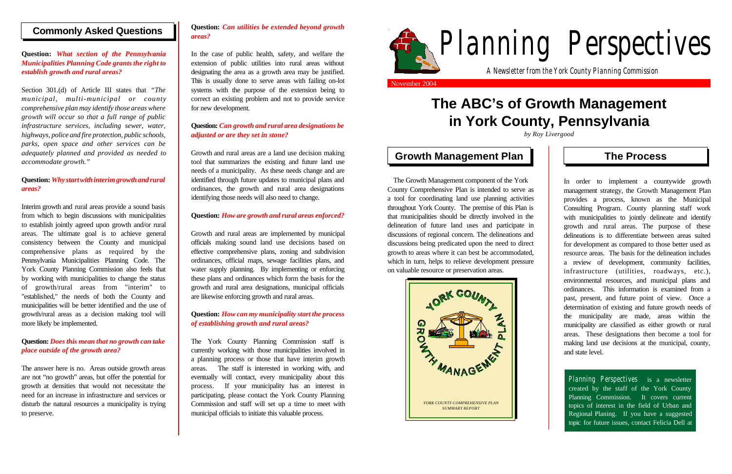#### **Question:** *What section of the Pennsylvania Municipalities Planning Code grants the right to establish growth and rural areas?*

Section 301.(d) of Article III states that *"The municipal, multi-municipal or county comprehensive plan may identify those areas where growth will occur so that a full range of public infrastructure services, including sewer, water, highways, police and fire protection, public schools, parks, open space and other services can be adequately planned and provided as needed to accommodate growth."*

#### **Question:** *Why start with interim growth and rural areas?*

Interim growth and rural areas provide a sound basis from which to begin discussions with municipalities to establish jointly agreed upon growth and/or rural areas. The ultimate goal is to achieve general consistency between the County and municipal comprehensive plans as required by the Pennsylvania Municipalities Planning Code. The York County Planning Commission also feels that by working with municipalities to change the status of growth/rural areas from "interim" to "established," the needs of both the County and municipalities will be better identified and the use of growth/rural areas as a decision making tool will more likely be implemented.

#### **Question:** *Does this mean that no growth can take place outside of the growth area?*

The answer here is no. Areas outside growth areas are not "no growth" areas, but offer the potential for growth at densities that would not necessitate the need for an increase in infrastructure and services or disturb the natural resources a municipality is trying to preserve.

#### **Question:** *Can utilities be extended beyond growth areas?*

In the case of public health, safety, and welfare the extension of public utilities into rural areas without designating the area as a growth area may be justified. This is usually done to serve areas with failing on-lot systems with the purpose of the extension being to correct an existing problem and not to provide service for new development.

#### **Question:** *Can growth and rural area designations be adjusted or are they set in stone?*

Growth and rural areas are a land use decision making tool that summarizes the existing and future land use needs of a municipality. As these needs change and are identified through future updates to municipal plans and ordinances, the growth and rural area designations identifying those needs will also need to change.

#### **Question:** *How are growth and rural areas enforced?*

Growth and rural areas are implemented by municipal officials making sound land use decisions based on effective comprehensive plans, zoning and subdivision ordinances, official maps, sewage facilities plans, and water supply planning. By implementing or enforcing these plans and ordinances which form the basis for the growth and rural area designations, municipal officials are likewise enforcing growth and rural areas.

#### **Question:** *How can my municipality start the process of establishing growth and rural areas?*

The York County Planning Commission staff is currently working with those municipalities involved in a planning process or those that have interim growth areas. The staff is interested in working with, and eventually will contact, every municipality about this process. If your municipality has an interest in participating, please contact the York County Planning Commission and staff will set up a time to meet with municipal officials to initiate this valuable process.

### **Commonly Asked Questions**



Planning Perspectives is a newsletter created by the staff of the York County Planning Commission. It covers current topics of interest in the field of Urban and Regional Planing. If you have a suggested topic for future issues, contact Felicia Dell at

## **Growth Management Plan The Process**

# Planning Perspectives A Newsletter from the York County Planning Commission

# **The ABC's of Growth Management in York County, Pennsylvania**

*by Roy Livergood*

The Growth Management component of the York County Comprehensive Plan is intended to serve as a tool for coordinating land use planning activities throughout York County. The premise of this Plan is that municipalities should be directly involved in the delineation of future land uses and participate in discussions of regional concern. The delineations and discussions being predicated upon the need to direct growth to areas where it can best be accommodated, which in turn, helps to relieve development pressure on valuable resource or preservation areas.



In order to implement a countywide growth management strategy, the Growth Management Plan provides a process, known as the Municipal Consulting Program. County planning staff work with municipalities to jointly delineate and identify growth and rural areas. The purpose of these delineations is to differentiate between areas suited for development as compared to those better used as resource areas. The basis for the delineation includes a review of development, community facilities, infrastructure (utilities, roadways, etc.), environmental resources, and municipal plans and ordinances. This information is examined from a past, present, and future point of view. Once a determination of existing and future growth needs of the municipality are made, areas within the municipality are classified as either growth or rural areas. These designations then become a tool for making land use decisions at the municipal, county, and state level.